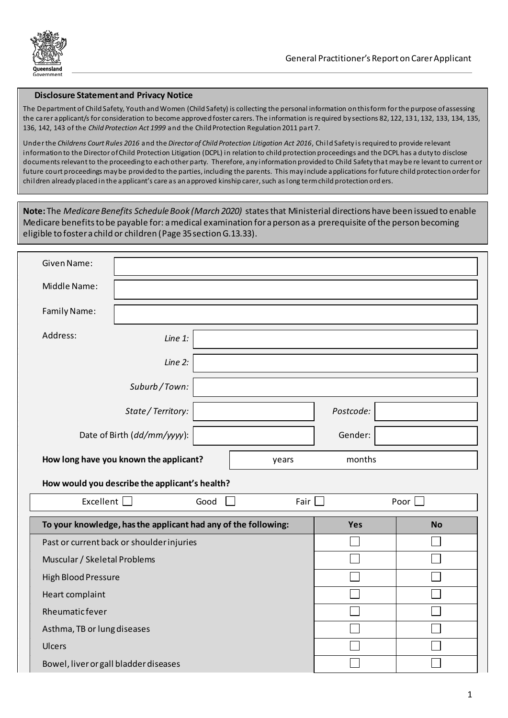

## **Disclosure Statement and Privacy Notice**

The Department of Child Safety, Youth and Women (Child Safety) is collecting the personal information on this form for the purpose of assessing the carer applicant/s for consideration to become approved foster carers. The information is required by sections 82, 122, 131, 132, 133, 134, 135, 136, 142, 143 of the *Child Protection Act 1999* and the Child Protection Regulation 2011 part 7.

Under the *Childrens Court Rules 2016* and the *Director of Child Protection Litigation Act 2016*, Child Safety is required to provide relevant information to the Director of Child Protection Litigation (DCPL) in relation to child protection proceedings and the DCPL has a duty to disclose documents relevant to the proceeding to each other party. Therefore, any information provided to Child Safety that may be re levant to current or future court proceedings may be provided to the parties, including the parents. This may include applications for future child protection order for children already placed in the applicant's care as an approved kinship carer, such as long term child protection ord ers.

**Note:** The *Medicare Benefits Schedule Book (March 2020)* states that Ministerial directions have been issued to enable Medicare benefits to be payable for: a medical examination for a person as a prerequisite of the person becoming eligible to foster a child or children (Page 35 section G.13.33).

| Given Name:                                     |                                                                |     |           |  |  |  |  |  |
|-------------------------------------------------|----------------------------------------------------------------|-----|-----------|--|--|--|--|--|
| Middle Name:                                    |                                                                |     |           |  |  |  |  |  |
| Family Name:                                    |                                                                |     |           |  |  |  |  |  |
| Address:                                        | Line 1:                                                        |     |           |  |  |  |  |  |
|                                                 | Line 2:                                                        |     |           |  |  |  |  |  |
|                                                 | Suburb/Town:                                                   |     |           |  |  |  |  |  |
| State / Territory:                              |                                                                |     | Postcode: |  |  |  |  |  |
| Date of Birth (dd/mm/yyyy):                     |                                                                |     | Gender:   |  |  |  |  |  |
| How long have you known the applicant?<br>years |                                                                |     | months    |  |  |  |  |  |
| How would you describe the applicant's health?  |                                                                |     |           |  |  |  |  |  |
| Excellent<br>Good<br>Fair                       |                                                                |     | Poor      |  |  |  |  |  |
|                                                 | To your knowledge, has the applicant had any of the following: | Yes | <b>No</b> |  |  |  |  |  |
| Past or current back or shoulder injuries       |                                                                |     |           |  |  |  |  |  |
| Muscular / Skeletal Problems                    |                                                                |     |           |  |  |  |  |  |
| <b>High Blood Pressure</b>                      |                                                                |     |           |  |  |  |  |  |
| Heart complaint                                 |                                                                |     |           |  |  |  |  |  |
| Rheumaticfever                                  |                                                                |     |           |  |  |  |  |  |
| Asthma, TB or lung diseases                     |                                                                |     |           |  |  |  |  |  |
| Ulcers                                          |                                                                |     |           |  |  |  |  |  |
|                                                 |                                                                |     |           |  |  |  |  |  |